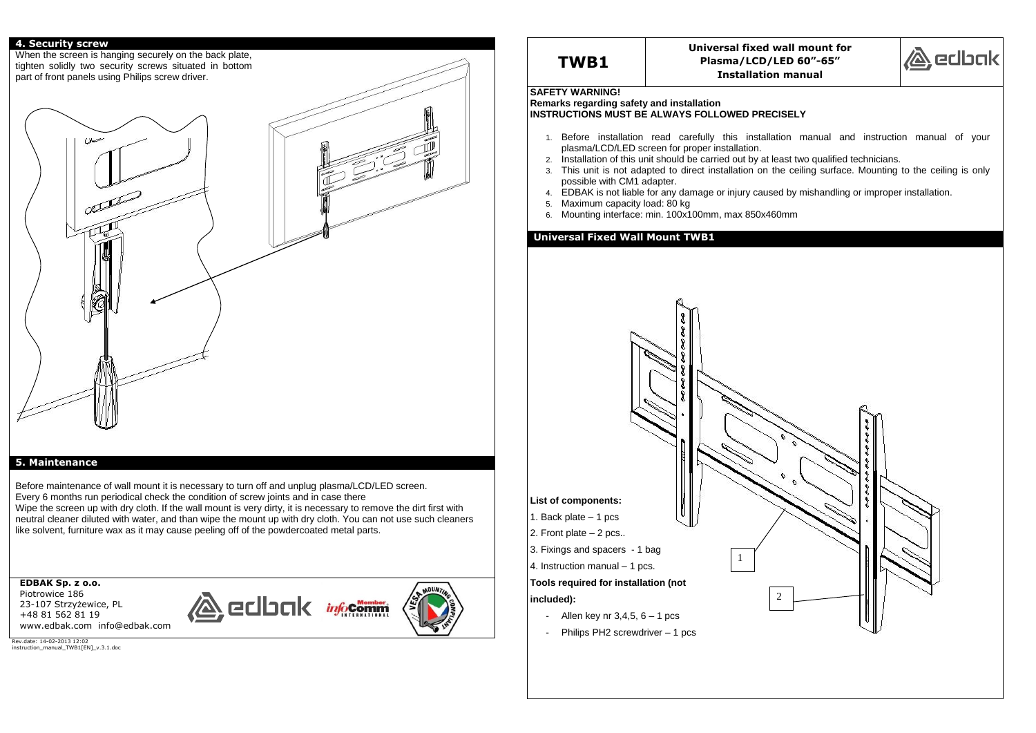### **4. Security screw**

When the screen is hanging securely on the back plate, tighten solidly two security screws situated in bottom part of front panels using Philips screw driver.  $180$ 

### **5. Maintenance**

Before maintenance of wall mount it is necessary to turn off and unplug plasma/LCD/LED screen. Every 6 months run periodical check the condition of screw joints and in case there Wipe the screen up with dry cloth. If the wall mount is very dirty, it is necessary to remove the dirt first with neutral cleaner diluted with water, and than wipe the mount up with dry cloth. You can not use such cleaners like solvent, furniture wax as it may cause peeling off of the powdercoated metal parts.

**EDBAK Sp. z o.o.**  Piotrowice 186 23-107 Strzyżewice, PL +48 81 562 81 19 www.edbak.com info@edbak.com





Rev.date: 14-02-2013 12:02 instruction\_manual\_TWB1[EN]\_v.3.1.doc



# **TWB1**

**Universal fixed wall mount for Plasma/LCD/LED 60"-65" Installation manual**

### **SAFETY WARNING!**

**Remarks regarding safety and installation INSTRUCTIONS MUST BE ALWAYS FOLLOWED PRECISELY**

- 1. Before installation read carefully this installation manual and instruction manual of your plasma/LCD/LED screen for proper installation.
- 2. Installation of this unit should be carried out by at least two qualified technicians. 3. This unit is not adapted to direct installation on the ceiling surface. Mounting to the ceiling is only
- possible with CM1 adapter.
- 4. EDBAK is not liable for any damage or injury caused by mishandling or improper installation.
- 5. Maximum capacity load: 80 kg
- 6. Mounting interface: min. 100x100mm, max 850x460mm

### **Universal Fixed Wall Mount TWB1**